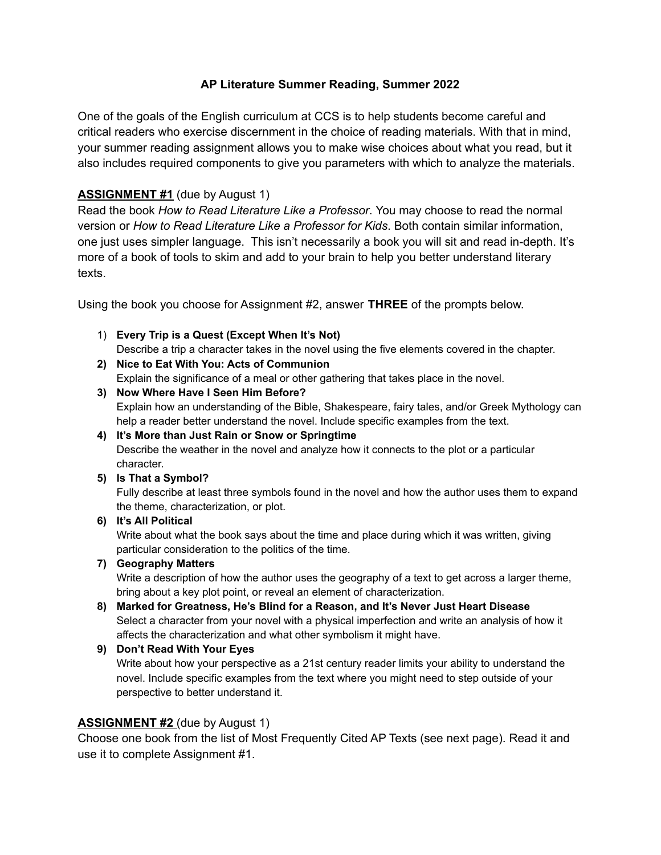## **AP Literature Summer Reading, Summer 2022**

One of the goals of the English curriculum at CCS is to help students become careful and critical readers who exercise discernment in the choice of reading materials. With that in mind, your summer reading assignment allows you to make wise choices about what you read, but it also includes required components to give you parameters with which to analyze the materials.

## **ASSIGNMENT #1** (due by August 1)

Read the book *How to Read Literature Like a Professor*. You may choose to read the normal version or *How to Read Literature Like a Professor for Kids*. Both contain similar information, one just uses simpler language. This isn't necessarily a book you will sit and read in-depth. It's more of a book of tools to skim and add to your brain to help you better understand literary texts.

Using the book you choose for Assignment #2, answer **THREE** of the prompts below.

- 1) **Every Trip is a Quest (Except When It's Not)** Describe a trip a character takes in the novel using the five elements covered in the chapter.
- **2) Nice to Eat With You: Acts of Communion** Explain the significance of a meal or other gathering that takes place in the novel.
- **3) Now Where Have I Seen Him Before?** Explain how an understanding of the Bible, Shakespeare, fairy tales, and/or Greek Mythology can help a reader better understand the novel. Include specific examples from the text.
- **4) It's More than Just Rain or Snow or Springtime** Describe the weather in the novel and analyze how it connects to the plot or a particular character.
- **5) Is That a Symbol?**

Fully describe at least three symbols found in the novel and how the author uses them to expand the theme, characterization, or plot.

**6) It's All Political**

Write about what the book says about the time and place during which it was written, giving particular consideration to the politics of the time.

**7) Geography Matters**

Write a description of how the author uses the geography of a text to get across a larger theme, bring about a key plot point, or reveal an element of characterization.

- **8) Marked for Greatness, He's Blind for a Reason, and It's Never Just Heart Disease** Select a character from your novel with a physical imperfection and write an analysis of how it affects the characterization and what other symbolism it might have.
- **9) Don't Read With Your Eyes**

Write about how your perspective as a 21st century reader limits your ability to understand the novel. Include specific examples from the text where you might need to step outside of your perspective to better understand it.

### **ASSIGNMENT #2** (due by August 1)

Choose one book from the list of Most Frequently Cited AP Texts (see next page). Read it and use it to complete Assignment #1.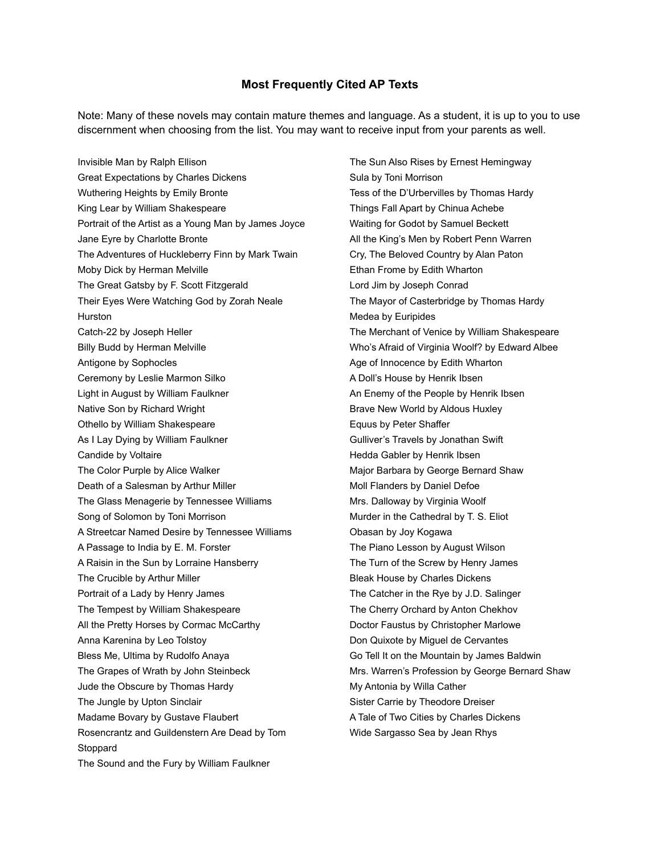#### **Most Frequently Cited AP Texts**

Note: Many of these novels may contain mature themes and language. As a student, it is up to you to use discernment when choosing from the list. You may want to receive input from your parents as well.

Invisible Man by Ralph Ellison Great Expectations by Charles Dickens Wuthering Heights by Emily Bronte King Lear by William Shakespeare Portrait of the Artist as a Young Man by James Joyce Jane Eyre by Charlotte Bronte The Adventures of Huckleberry Finn by Mark Twain Moby Dick by Herman Melville The Great Gatsby by F. Scott Fitzgerald Their Eyes Were Watching God by Zorah Neale Hurston Catch-22 by Joseph Heller Billy Budd by Herman Melville Antigone by Sophocles Ceremony by Leslie Marmon Silko Light in August by William Faulkner Native Son by Richard Wright Othello by William Shakespeare As I Lay Dying by William Faulkner Candide by Voltaire The Color Purple by Alice Walker Death of a Salesman by Arthur Miller The Glass Menagerie by Tennessee Williams Song of Solomon by Toni Morrison A Streetcar Named Desire by Tennessee Williams A Passage to India by E. M. Forster A Raisin in the Sun by Lorraine Hansberry The Crucible by Arthur Miller Portrait of a Lady by Henry James The Tempest by William Shakespeare All the Pretty Horses by Cormac McCarthy Anna Karenina by Leo Tolstoy Bless Me, Ultima by Rudolfo Anaya The Grapes of Wrath by John Steinbeck Jude the Obscure by Thomas Hardy The Jungle by Upton Sinclair Madame Bovary by Gustave Flaubert Rosencrantz and Guildenstern Are Dead by Tom Stoppard The Sound and the Fury by William Faulkner

The Sun Also Rises by Ernest Hemingway Sula by Toni Morrison Tess of the D'Urbervilles by Thomas Hardy Things Fall Apart by Chinua Achebe Waiting for Godot by Samuel Beckett All the King's Men by Robert Penn Warren Cry, The Beloved Country by Alan Paton Ethan Frome by Edith Wharton Lord Jim by Joseph Conrad The Mayor of Casterbridge by Thomas Hardy Medea by Euripides The Merchant of Venice by William Shakespeare Who's Afraid of Virginia Woolf? by Edward Albee Age of Innocence by Edith Wharton A Doll's House by Henrik Ibsen An Enemy of the People by Henrik Ibsen Brave New World by Aldous Huxley Equus by Peter Shaffer Gulliver's Travels by Jonathan Swift Hedda Gabler by Henrik Ibsen Major Barbara by George Bernard Shaw Moll Flanders by Daniel Defoe Mrs. Dalloway by Virginia Woolf Murder in the Cathedral by T. S. Eliot Obasan by Joy Kogawa The Piano Lesson by August Wilson The Turn of the Screw by Henry James Bleak House by Charles Dickens The Catcher in the Rye by J.D. Salinger The Cherry Orchard by Anton Chekhov Doctor Faustus by Christopher Marlowe Don Quixote by Miguel de Cervantes Go Tell It on the Mountain by James Baldwin Mrs. Warren's Profession by George Bernard Shaw My Antonia by Willa Cather Sister Carrie by Theodore Dreiser A Tale of Two Cities by Charles Dickens Wide Sargasso Sea by Jean Rhys